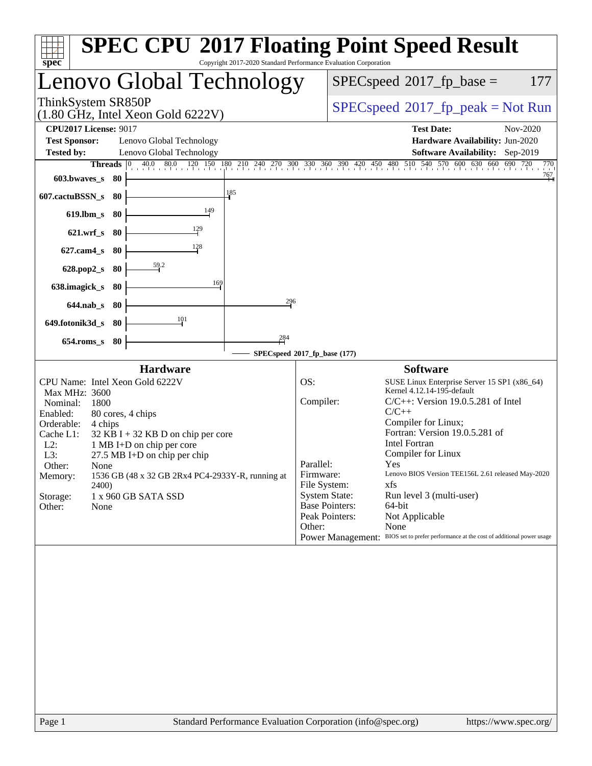| <b>SPEC CPU®2017 Floating Point Speed Result</b><br>Copyright 2017-2020 Standard Performance Evaluation Corporation<br>spec <sup>®</sup>                                                                                                                                                                                                                                                                               |                                                                                                                                                                                                                                                                                                                                                                                                                                                                                                                                                                                                                |
|------------------------------------------------------------------------------------------------------------------------------------------------------------------------------------------------------------------------------------------------------------------------------------------------------------------------------------------------------------------------------------------------------------------------|----------------------------------------------------------------------------------------------------------------------------------------------------------------------------------------------------------------------------------------------------------------------------------------------------------------------------------------------------------------------------------------------------------------------------------------------------------------------------------------------------------------------------------------------------------------------------------------------------------------|
| Lenovo Global Technology                                                                                                                                                                                                                                                                                                                                                                                               | $SPEC speed^{\circ}2017\_fp\_base =$<br>177                                                                                                                                                                                                                                                                                                                                                                                                                                                                                                                                                                    |
| ThinkSystem SR850P<br>$(1.80 \text{ GHz}, \text{Intel Xeon Gold } 6222 \text{V})$                                                                                                                                                                                                                                                                                                                                      | $SPEC speed^{\circ}2017\_fp\_peak = Not Run$                                                                                                                                                                                                                                                                                                                                                                                                                                                                                                                                                                   |
| <b>CPU2017 License: 9017</b><br><b>Test Sponsor:</b><br>Lenovo Global Technology<br><b>Tested by:</b><br>Lenovo Global Technology                                                                                                                                                                                                                                                                                      | <b>Test Date:</b><br>Nov-2020<br>Hardware Availability: Jun-2020<br>Software Availability: Sep-2019                                                                                                                                                                                                                                                                                                                                                                                                                                                                                                            |
| Threads $ 0 $<br>$603.bwaves$ 80                                                                                                                                                                                                                                                                                                                                                                                       | 40.0 80.0 120 150 180 210 240 270 300 330 360 390 420 450 480 510 540 570 600 630 660 690 720<br>770<br>767                                                                                                                                                                                                                                                                                                                                                                                                                                                                                                    |
| 185<br>607.cactuBSSN_s<br>- 80                                                                                                                                                                                                                                                                                                                                                                                         |                                                                                                                                                                                                                                                                                                                                                                                                                                                                                                                                                                                                                |
| 149<br>$619.$ lbm_s<br>- 80<br>621.wrf_s 80                                                                                                                                                                                                                                                                                                                                                                            |                                                                                                                                                                                                                                                                                                                                                                                                                                                                                                                                                                                                                |
| 128<br>$627$ .cam $4_s$<br>-80                                                                                                                                                                                                                                                                                                                                                                                         |                                                                                                                                                                                                                                                                                                                                                                                                                                                                                                                                                                                                                |
| $\frac{59.2}{2}$<br>628.pop2_s<br>- 80                                                                                                                                                                                                                                                                                                                                                                                 |                                                                                                                                                                                                                                                                                                                                                                                                                                                                                                                                                                                                                |
| 169<br>638.imagick_s<br>-80<br>296                                                                                                                                                                                                                                                                                                                                                                                     |                                                                                                                                                                                                                                                                                                                                                                                                                                                                                                                                                                                                                |
| 644.nab s 80<br>$\frac{101}{2}$<br>649.fotonik3d_s 80                                                                                                                                                                                                                                                                                                                                                                  |                                                                                                                                                                                                                                                                                                                                                                                                                                                                                                                                                                                                                |
| 284<br>$654$ .roms_s<br>80                                                                                                                                                                                                                                                                                                                                                                                             |                                                                                                                                                                                                                                                                                                                                                                                                                                                                                                                                                                                                                |
| <b>Hardware</b>                                                                                                                                                                                                                                                                                                                                                                                                        | SPECspeed*2017_fp_base (177)<br><b>Software</b>                                                                                                                                                                                                                                                                                                                                                                                                                                                                                                                                                                |
| CPU Name: Intel Xeon Gold 6222V<br>Max MHz: 3600<br>Nominal:<br>1800<br>Enabled:<br>80 cores, 4 chips<br>Orderable:<br>4 chips<br>Cache L1:<br>$32$ KB I + 32 KB D on chip per core<br>$L2$ :<br>1 MB I+D on chip per core<br>L3:<br>27.5 MB I+D on chip per chip<br>Other:<br>None<br>1536 GB (48 x 32 GB 2Rx4 PC4-2933Y-R, running at<br>Memory:<br><b>2400</b><br>Storage:<br>1 x 960 GB SATA SSD<br>Other:<br>None | OS:<br>SUSE Linux Enterprise Server 15 SP1 (x86_64)<br>Kernel 4.12.14-195-default<br>Compiler:<br>$C/C++$ : Version 19.0.5.281 of Intel<br>$C/C++$<br>Compiler for Linux;<br>Fortran: Version 19.0.5.281 of<br><b>Intel Fortran</b><br>Compiler for Linux<br>Parallel:<br>Yes<br>Lenovo BIOS Version TEE156L 2.61 released May-2020<br>Firmware:<br>File System:<br>xfs<br><b>System State:</b><br>Run level 3 (multi-user)<br>64-bit<br><b>Base Pointers:</b><br>Peak Pointers:<br>Not Applicable<br>None<br>Other:<br>Power Management: BIOS set to prefer performance at the cost of additional power usage |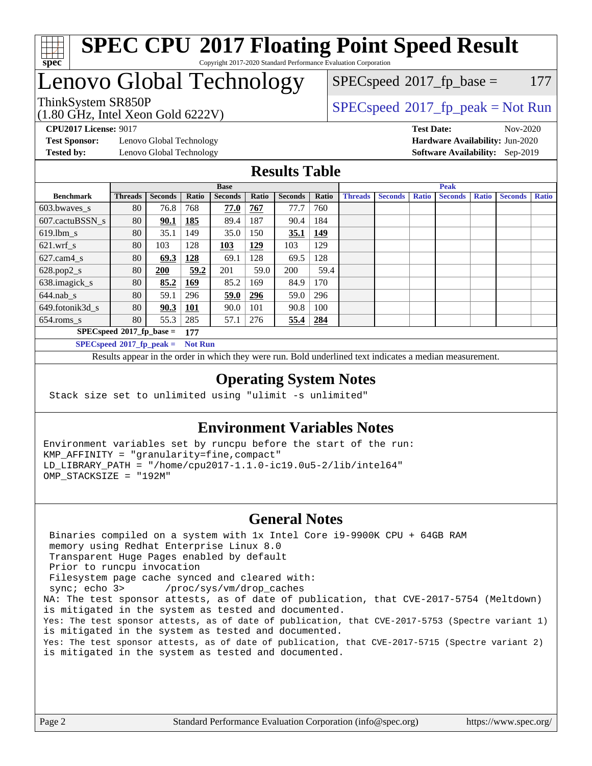

#### **[SPEC CPU](http://www.spec.org/auto/cpu2017/Docs/result-fields.html#SPECCPU2017FloatingPointSpeedResult)[2017 Floating Point Speed Result](http://www.spec.org/auto/cpu2017/Docs/result-fields.html#SPECCPU2017FloatingPointSpeedResult)** Copyright 2017-2020 Standard Performance Evaluation Corporation

## Lenovo Global Technology

(1.80 GHz, Intel Xeon Gold 6222V) ThinkSystem SR850P<br>(1.80 GHz, Intel Year Gold 6222V) [SPECspeed](http://www.spec.org/auto/cpu2017/Docs/result-fields.html#SPECspeed2017fppeak)®[2017\\_fp\\_peak = N](http://www.spec.org/auto/cpu2017/Docs/result-fields.html#SPECspeed2017fppeak)ot Run

 $SPECspeed^{\circledcirc}2017_fp\_base = 177$  $SPECspeed^{\circledcirc}2017_fp\_base = 177$ 

**[Test Sponsor:](http://www.spec.org/auto/cpu2017/Docs/result-fields.html#TestSponsor)** Lenovo Global Technology **[Hardware Availability:](http://www.spec.org/auto/cpu2017/Docs/result-fields.html#HardwareAvailability)** Jun-2020 **[Tested by:](http://www.spec.org/auto/cpu2017/Docs/result-fields.html#Testedby)** Lenovo Global Technology **[Software Availability:](http://www.spec.org/auto/cpu2017/Docs/result-fields.html#SoftwareAvailability)** Sep-2019

**[CPU2017 License:](http://www.spec.org/auto/cpu2017/Docs/result-fields.html#CPU2017License)** 9017 **[Test Date:](http://www.spec.org/auto/cpu2017/Docs/result-fields.html#TestDate)** Nov-2020

### **[Results Table](http://www.spec.org/auto/cpu2017/Docs/result-fields.html#ResultsTable)**

|                                               | <b>Base</b>    |                |            |                | <b>Peak</b> |                |       |                |                |              |                |              |                |              |
|-----------------------------------------------|----------------|----------------|------------|----------------|-------------|----------------|-------|----------------|----------------|--------------|----------------|--------------|----------------|--------------|
| <b>Benchmark</b>                              | <b>Threads</b> | <b>Seconds</b> | Ratio      | <b>Seconds</b> | Ratio       | <b>Seconds</b> | Ratio | <b>Threads</b> | <b>Seconds</b> | <b>Ratio</b> | <b>Seconds</b> | <b>Ratio</b> | <b>Seconds</b> | <b>Ratio</b> |
| 603.bwayes s                                  | 80             | 76.8           | 768        | 77.0           | 767         | 77.7           | 760   |                |                |              |                |              |                |              |
| 607.cactuBSSN s                               | 80             | 90.1           | 185        | 89.4           | 187         | 90.4           | 184   |                |                |              |                |              |                |              |
| $619.$ lbm s                                  | 80             | 35.1           | 149        | 35.0           | 150         | 35.1           | 149   |                |                |              |                |              |                |              |
| $621.wrf$ s                                   | 80             | 103            | 128        | 103            | 129         | 103            | 129   |                |                |              |                |              |                |              |
| $627$ .cam4 s                                 | 80             | 69.3           | 128        | 69.1           | 128         | 69.5           | 128   |                |                |              |                |              |                |              |
| $628.pop2_s$                                  | 80             | 200            | 59.2       | 201            | 59.0        | 200            | 59.4  |                |                |              |                |              |                |              |
| 638.imagick_s                                 | 80             | 85.2           | 169        | 85.2           | 169         | 84.9           | 170   |                |                |              |                |              |                |              |
| $644$ .nab s                                  | 80             | 59.1           | 296        | 59.0           | <u>296</u>  | 59.0           | 296   |                |                |              |                |              |                |              |
| 649.fotonik3d s                               | 80             | 90.3           | <u>101</u> | 90.0           | 101         | 90.8           | 100   |                |                |              |                |              |                |              |
| $654$ .roms s                                 | 80             | 55.3           | 285        | 57.1           | 276         | 55.4           | 284   |                |                |              |                |              |                |              |
| $SPECspeed*2017_fp\_base =$<br>177            |                |                |            |                |             |                |       |                |                |              |                |              |                |              |
| $SPECspeed*2017_fp\_peak =$<br><b>Not Run</b> |                |                |            |                |             |                |       |                |                |              |                |              |                |              |

Results appear in the [order in which they were run.](http://www.spec.org/auto/cpu2017/Docs/result-fields.html#RunOrder) Bold underlined text [indicates a median measurement](http://www.spec.org/auto/cpu2017/Docs/result-fields.html#Median).

#### **[Operating System Notes](http://www.spec.org/auto/cpu2017/Docs/result-fields.html#OperatingSystemNotes)**

Stack size set to unlimited using "ulimit -s unlimited"

#### **[Environment Variables Notes](http://www.spec.org/auto/cpu2017/Docs/result-fields.html#EnvironmentVariablesNotes)**

Environment variables set by runcpu before the start of the run: KMP\_AFFINITY = "granularity=fine,compact" LD\_LIBRARY\_PATH = "/home/cpu2017-1.1.0-ic19.0u5-2/lib/intel64" OMP\_STACKSIZE = "192M"

#### **[General Notes](http://www.spec.org/auto/cpu2017/Docs/result-fields.html#GeneralNotes)**

 Binaries compiled on a system with 1x Intel Core i9-9900K CPU + 64GB RAM memory using Redhat Enterprise Linux 8.0 Transparent Huge Pages enabled by default Prior to runcpu invocation Filesystem page cache synced and cleared with: sync; echo 3> /proc/sys/vm/drop\_caches NA: The test sponsor attests, as of date of publication, that CVE-2017-5754 (Meltdown) is mitigated in the system as tested and documented. Yes: The test sponsor attests, as of date of publication, that CVE-2017-5753 (Spectre variant 1) is mitigated in the system as tested and documented. Yes: The test sponsor attests, as of date of publication, that CVE-2017-5715 (Spectre variant 2) is mitigated in the system as tested and documented.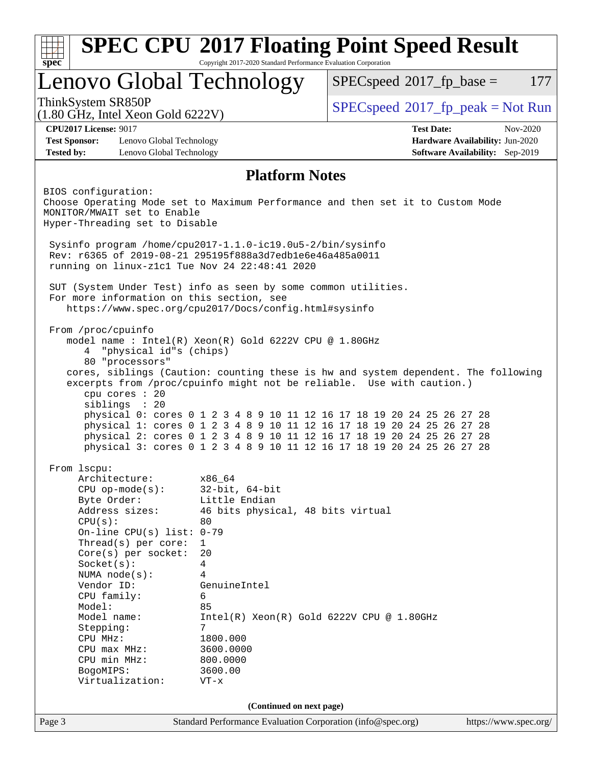| Lenovo Global Technology<br>$SPEC speed^{\circledcirc}2017$ fp base =<br>ThinkSystem SR850P<br>$SPEC speed^{\circ}2017\_fp\_peak = Not Run$<br>$(1.80 \text{ GHz}, \text{Intel Xeon Gold } 6222 \text{V})$<br><b>CPU2017 License: 9017</b><br><b>Test Date:</b><br><b>Test Sponsor:</b><br>Lenovo Global Technology<br><b>Tested by:</b><br>Lenovo Global Technology<br><b>Platform Notes</b><br>BIOS configuration:<br>Choose Operating Mode set to Maximum Performance and then set it to Custom Mode<br>MONITOR/MWAIT set to Enable<br>Hyper-Threading set to Disable<br>Sysinfo program /home/cpu2017-1.1.0-ic19.0u5-2/bin/sysinfo<br>Rev: r6365 of 2019-08-21 295195f888a3d7edble6e46a485a0011<br>running on linux-z1c1 Tue Nov 24 22:48:41 2020<br>SUT (System Under Test) info as seen by some common utilities.<br>For more information on this section, see<br>https://www.spec.org/cpu2017/Docs/config.html#sysinfo<br>From /proc/cpuinfo<br>model name: $Intel(R)$ Xeon $(R)$ Gold 6222V CPU @ 1.80GHz<br>"physical id"s (chips)<br>4<br>80 "processors"<br>cores, siblings (Caution: counting these is hw and system dependent. The following<br>excerpts from /proc/cpuinfo might not be reliable. Use with caution.)<br>cpu cores : 20<br>siblings : 20<br>physical 0: cores 0 1 2 3 4 8 9 10 11 12 16 17 18 19 20 24 25 26 27 28<br>physical 1: cores 0 1 2 3 4 8 9 10 11 12 16 17 18 19 20 24 25 26 27 28<br>physical 2: cores 0 1 2 3 4 8 9 10 11 12 16 17 18 19 20 24 25 26 27 28<br>physical 3: cores 0 1 2 3 4 8 9 10 11 12 16 17 18 19 20 24 25 26 27 28<br>From 1scpu:<br>Architecture:<br>x86_64<br>$CPU$ op-mode( $s$ ):<br>$32$ -bit, $64$ -bit<br>Little Endian<br>Byte Order:<br>Address sizes:<br>46 bits physical, 48 bits virtual<br>CPU(s):<br>80<br>On-line CPU(s) list: $0-79$<br>Thread( $s$ ) per core:<br>$\mathbf{1}$<br>$Core(s)$ per socket:<br>20<br>Socket(s):<br>4<br>NUMA $node(s):$<br>4<br>Vendor ID:<br>GenuineIntel<br>CPU family:<br>6<br>85<br>Model:<br>Model name:<br>$Intel(R) Xeon(R) Gold 6222V CPU @ 1.80GHz$<br>Stepping:<br>7<br>CPU MHz:<br>1800.000 |                                 |
|----------------------------------------------------------------------------------------------------------------------------------------------------------------------------------------------------------------------------------------------------------------------------------------------------------------------------------------------------------------------------------------------------------------------------------------------------------------------------------------------------------------------------------------------------------------------------------------------------------------------------------------------------------------------------------------------------------------------------------------------------------------------------------------------------------------------------------------------------------------------------------------------------------------------------------------------------------------------------------------------------------------------------------------------------------------------------------------------------------------------------------------------------------------------------------------------------------------------------------------------------------------------------------------------------------------------------------------------------------------------------------------------------------------------------------------------------------------------------------------------------------------------------------------------------------------------------------------------------------------------------------------------------------------------------------------------------------------------------------------------------------------------------------------------------------------------------------------------------------------------------------------------------------------------------------------------------------------------------------------------------------------------------------------------------------------------------------------------------------------|---------------------------------|
|                                                                                                                                                                                                                                                                                                                                                                                                                                                                                                                                                                                                                                                                                                                                                                                                                                                                                                                                                                                                                                                                                                                                                                                                                                                                                                                                                                                                                                                                                                                                                                                                                                                                                                                                                                                                                                                                                                                                                                                                                                                                                                                | 177                             |
|                                                                                                                                                                                                                                                                                                                                                                                                                                                                                                                                                                                                                                                                                                                                                                                                                                                                                                                                                                                                                                                                                                                                                                                                                                                                                                                                                                                                                                                                                                                                                                                                                                                                                                                                                                                                                                                                                                                                                                                                                                                                                                                |                                 |
|                                                                                                                                                                                                                                                                                                                                                                                                                                                                                                                                                                                                                                                                                                                                                                                                                                                                                                                                                                                                                                                                                                                                                                                                                                                                                                                                                                                                                                                                                                                                                                                                                                                                                                                                                                                                                                                                                                                                                                                                                                                                                                                | Nov-2020                        |
|                                                                                                                                                                                                                                                                                                                                                                                                                                                                                                                                                                                                                                                                                                                                                                                                                                                                                                                                                                                                                                                                                                                                                                                                                                                                                                                                                                                                                                                                                                                                                                                                                                                                                                                                                                                                                                                                                                                                                                                                                                                                                                                | Hardware Availability: Jun-2020 |
|                                                                                                                                                                                                                                                                                                                                                                                                                                                                                                                                                                                                                                                                                                                                                                                                                                                                                                                                                                                                                                                                                                                                                                                                                                                                                                                                                                                                                                                                                                                                                                                                                                                                                                                                                                                                                                                                                                                                                                                                                                                                                                                | Software Availability: Sep-2019 |
|                                                                                                                                                                                                                                                                                                                                                                                                                                                                                                                                                                                                                                                                                                                                                                                                                                                                                                                                                                                                                                                                                                                                                                                                                                                                                                                                                                                                                                                                                                                                                                                                                                                                                                                                                                                                                                                                                                                                                                                                                                                                                                                |                                 |
|                                                                                                                                                                                                                                                                                                                                                                                                                                                                                                                                                                                                                                                                                                                                                                                                                                                                                                                                                                                                                                                                                                                                                                                                                                                                                                                                                                                                                                                                                                                                                                                                                                                                                                                                                                                                                                                                                                                                                                                                                                                                                                                |                                 |
|                                                                                                                                                                                                                                                                                                                                                                                                                                                                                                                                                                                                                                                                                                                                                                                                                                                                                                                                                                                                                                                                                                                                                                                                                                                                                                                                                                                                                                                                                                                                                                                                                                                                                                                                                                                                                                                                                                                                                                                                                                                                                                                |                                 |
|                                                                                                                                                                                                                                                                                                                                                                                                                                                                                                                                                                                                                                                                                                                                                                                                                                                                                                                                                                                                                                                                                                                                                                                                                                                                                                                                                                                                                                                                                                                                                                                                                                                                                                                                                                                                                                                                                                                                                                                                                                                                                                                |                                 |
|                                                                                                                                                                                                                                                                                                                                                                                                                                                                                                                                                                                                                                                                                                                                                                                                                                                                                                                                                                                                                                                                                                                                                                                                                                                                                                                                                                                                                                                                                                                                                                                                                                                                                                                                                                                                                                                                                                                                                                                                                                                                                                                |                                 |
|                                                                                                                                                                                                                                                                                                                                                                                                                                                                                                                                                                                                                                                                                                                                                                                                                                                                                                                                                                                                                                                                                                                                                                                                                                                                                                                                                                                                                                                                                                                                                                                                                                                                                                                                                                                                                                                                                                                                                                                                                                                                                                                |                                 |
|                                                                                                                                                                                                                                                                                                                                                                                                                                                                                                                                                                                                                                                                                                                                                                                                                                                                                                                                                                                                                                                                                                                                                                                                                                                                                                                                                                                                                                                                                                                                                                                                                                                                                                                                                                                                                                                                                                                                                                                                                                                                                                                |                                 |
|                                                                                                                                                                                                                                                                                                                                                                                                                                                                                                                                                                                                                                                                                                                                                                                                                                                                                                                                                                                                                                                                                                                                                                                                                                                                                                                                                                                                                                                                                                                                                                                                                                                                                                                                                                                                                                                                                                                                                                                                                                                                                                                |                                 |
|                                                                                                                                                                                                                                                                                                                                                                                                                                                                                                                                                                                                                                                                                                                                                                                                                                                                                                                                                                                                                                                                                                                                                                                                                                                                                                                                                                                                                                                                                                                                                                                                                                                                                                                                                                                                                                                                                                                                                                                                                                                                                                                |                                 |
|                                                                                                                                                                                                                                                                                                                                                                                                                                                                                                                                                                                                                                                                                                                                                                                                                                                                                                                                                                                                                                                                                                                                                                                                                                                                                                                                                                                                                                                                                                                                                                                                                                                                                                                                                                                                                                                                                                                                                                                                                                                                                                                |                                 |
|                                                                                                                                                                                                                                                                                                                                                                                                                                                                                                                                                                                                                                                                                                                                                                                                                                                                                                                                                                                                                                                                                                                                                                                                                                                                                                                                                                                                                                                                                                                                                                                                                                                                                                                                                                                                                                                                                                                                                                                                                                                                                                                |                                 |
|                                                                                                                                                                                                                                                                                                                                                                                                                                                                                                                                                                                                                                                                                                                                                                                                                                                                                                                                                                                                                                                                                                                                                                                                                                                                                                                                                                                                                                                                                                                                                                                                                                                                                                                                                                                                                                                                                                                                                                                                                                                                                                                |                                 |
|                                                                                                                                                                                                                                                                                                                                                                                                                                                                                                                                                                                                                                                                                                                                                                                                                                                                                                                                                                                                                                                                                                                                                                                                                                                                                                                                                                                                                                                                                                                                                                                                                                                                                                                                                                                                                                                                                                                                                                                                                                                                                                                |                                 |
|                                                                                                                                                                                                                                                                                                                                                                                                                                                                                                                                                                                                                                                                                                                                                                                                                                                                                                                                                                                                                                                                                                                                                                                                                                                                                                                                                                                                                                                                                                                                                                                                                                                                                                                                                                                                                                                                                                                                                                                                                                                                                                                |                                 |
|                                                                                                                                                                                                                                                                                                                                                                                                                                                                                                                                                                                                                                                                                                                                                                                                                                                                                                                                                                                                                                                                                                                                                                                                                                                                                                                                                                                                                                                                                                                                                                                                                                                                                                                                                                                                                                                                                                                                                                                                                                                                                                                |                                 |
|                                                                                                                                                                                                                                                                                                                                                                                                                                                                                                                                                                                                                                                                                                                                                                                                                                                                                                                                                                                                                                                                                                                                                                                                                                                                                                                                                                                                                                                                                                                                                                                                                                                                                                                                                                                                                                                                                                                                                                                                                                                                                                                |                                 |
|                                                                                                                                                                                                                                                                                                                                                                                                                                                                                                                                                                                                                                                                                                                                                                                                                                                                                                                                                                                                                                                                                                                                                                                                                                                                                                                                                                                                                                                                                                                                                                                                                                                                                                                                                                                                                                                                                                                                                                                                                                                                                                                |                                 |
|                                                                                                                                                                                                                                                                                                                                                                                                                                                                                                                                                                                                                                                                                                                                                                                                                                                                                                                                                                                                                                                                                                                                                                                                                                                                                                                                                                                                                                                                                                                                                                                                                                                                                                                                                                                                                                                                                                                                                                                                                                                                                                                |                                 |
|                                                                                                                                                                                                                                                                                                                                                                                                                                                                                                                                                                                                                                                                                                                                                                                                                                                                                                                                                                                                                                                                                                                                                                                                                                                                                                                                                                                                                                                                                                                                                                                                                                                                                                                                                                                                                                                                                                                                                                                                                                                                                                                |                                 |
|                                                                                                                                                                                                                                                                                                                                                                                                                                                                                                                                                                                                                                                                                                                                                                                                                                                                                                                                                                                                                                                                                                                                                                                                                                                                                                                                                                                                                                                                                                                                                                                                                                                                                                                                                                                                                                                                                                                                                                                                                                                                                                                |                                 |
|                                                                                                                                                                                                                                                                                                                                                                                                                                                                                                                                                                                                                                                                                                                                                                                                                                                                                                                                                                                                                                                                                                                                                                                                                                                                                                                                                                                                                                                                                                                                                                                                                                                                                                                                                                                                                                                                                                                                                                                                                                                                                                                |                                 |
|                                                                                                                                                                                                                                                                                                                                                                                                                                                                                                                                                                                                                                                                                                                                                                                                                                                                                                                                                                                                                                                                                                                                                                                                                                                                                                                                                                                                                                                                                                                                                                                                                                                                                                                                                                                                                                                                                                                                                                                                                                                                                                                |                                 |
|                                                                                                                                                                                                                                                                                                                                                                                                                                                                                                                                                                                                                                                                                                                                                                                                                                                                                                                                                                                                                                                                                                                                                                                                                                                                                                                                                                                                                                                                                                                                                                                                                                                                                                                                                                                                                                                                                                                                                                                                                                                                                                                |                                 |
|                                                                                                                                                                                                                                                                                                                                                                                                                                                                                                                                                                                                                                                                                                                                                                                                                                                                                                                                                                                                                                                                                                                                                                                                                                                                                                                                                                                                                                                                                                                                                                                                                                                                                                                                                                                                                                                                                                                                                                                                                                                                                                                |                                 |
|                                                                                                                                                                                                                                                                                                                                                                                                                                                                                                                                                                                                                                                                                                                                                                                                                                                                                                                                                                                                                                                                                                                                                                                                                                                                                                                                                                                                                                                                                                                                                                                                                                                                                                                                                                                                                                                                                                                                                                                                                                                                                                                |                                 |
|                                                                                                                                                                                                                                                                                                                                                                                                                                                                                                                                                                                                                                                                                                                                                                                                                                                                                                                                                                                                                                                                                                                                                                                                                                                                                                                                                                                                                                                                                                                                                                                                                                                                                                                                                                                                                                                                                                                                                                                                                                                                                                                |                                 |
|                                                                                                                                                                                                                                                                                                                                                                                                                                                                                                                                                                                                                                                                                                                                                                                                                                                                                                                                                                                                                                                                                                                                                                                                                                                                                                                                                                                                                                                                                                                                                                                                                                                                                                                                                                                                                                                                                                                                                                                                                                                                                                                |                                 |
|                                                                                                                                                                                                                                                                                                                                                                                                                                                                                                                                                                                                                                                                                                                                                                                                                                                                                                                                                                                                                                                                                                                                                                                                                                                                                                                                                                                                                                                                                                                                                                                                                                                                                                                                                                                                                                                                                                                                                                                                                                                                                                                |                                 |
|                                                                                                                                                                                                                                                                                                                                                                                                                                                                                                                                                                                                                                                                                                                                                                                                                                                                                                                                                                                                                                                                                                                                                                                                                                                                                                                                                                                                                                                                                                                                                                                                                                                                                                                                                                                                                                                                                                                                                                                                                                                                                                                |                                 |
|                                                                                                                                                                                                                                                                                                                                                                                                                                                                                                                                                                                                                                                                                                                                                                                                                                                                                                                                                                                                                                                                                                                                                                                                                                                                                                                                                                                                                                                                                                                                                                                                                                                                                                                                                                                                                                                                                                                                                                                                                                                                                                                |                                 |
|                                                                                                                                                                                                                                                                                                                                                                                                                                                                                                                                                                                                                                                                                                                                                                                                                                                                                                                                                                                                                                                                                                                                                                                                                                                                                                                                                                                                                                                                                                                                                                                                                                                                                                                                                                                                                                                                                                                                                                                                                                                                                                                |                                 |
|                                                                                                                                                                                                                                                                                                                                                                                                                                                                                                                                                                                                                                                                                                                                                                                                                                                                                                                                                                                                                                                                                                                                                                                                                                                                                                                                                                                                                                                                                                                                                                                                                                                                                                                                                                                                                                                                                                                                                                                                                                                                                                                |                                 |
|                                                                                                                                                                                                                                                                                                                                                                                                                                                                                                                                                                                                                                                                                                                                                                                                                                                                                                                                                                                                                                                                                                                                                                                                                                                                                                                                                                                                                                                                                                                                                                                                                                                                                                                                                                                                                                                                                                                                                                                                                                                                                                                |                                 |
|                                                                                                                                                                                                                                                                                                                                                                                                                                                                                                                                                                                                                                                                                                                                                                                                                                                                                                                                                                                                                                                                                                                                                                                                                                                                                                                                                                                                                                                                                                                                                                                                                                                                                                                                                                                                                                                                                                                                                                                                                                                                                                                |                                 |
|                                                                                                                                                                                                                                                                                                                                                                                                                                                                                                                                                                                                                                                                                                                                                                                                                                                                                                                                                                                                                                                                                                                                                                                                                                                                                                                                                                                                                                                                                                                                                                                                                                                                                                                                                                                                                                                                                                                                                                                                                                                                                                                |                                 |
|                                                                                                                                                                                                                                                                                                                                                                                                                                                                                                                                                                                                                                                                                                                                                                                                                                                                                                                                                                                                                                                                                                                                                                                                                                                                                                                                                                                                                                                                                                                                                                                                                                                                                                                                                                                                                                                                                                                                                                                                                                                                                                                |                                 |
|                                                                                                                                                                                                                                                                                                                                                                                                                                                                                                                                                                                                                                                                                                                                                                                                                                                                                                                                                                                                                                                                                                                                                                                                                                                                                                                                                                                                                                                                                                                                                                                                                                                                                                                                                                                                                                                                                                                                                                                                                                                                                                                |                                 |
|                                                                                                                                                                                                                                                                                                                                                                                                                                                                                                                                                                                                                                                                                                                                                                                                                                                                                                                                                                                                                                                                                                                                                                                                                                                                                                                                                                                                                                                                                                                                                                                                                                                                                                                                                                                                                                                                                                                                                                                                                                                                                                                |                                 |
| 3600.0000<br>CPU max MHz:                                                                                                                                                                                                                                                                                                                                                                                                                                                                                                                                                                                                                                                                                                                                                                                                                                                                                                                                                                                                                                                                                                                                                                                                                                                                                                                                                                                                                                                                                                                                                                                                                                                                                                                                                                                                                                                                                                                                                                                                                                                                                      |                                 |
| CPU min MHz:<br>800.0000                                                                                                                                                                                                                                                                                                                                                                                                                                                                                                                                                                                                                                                                                                                                                                                                                                                                                                                                                                                                                                                                                                                                                                                                                                                                                                                                                                                                                                                                                                                                                                                                                                                                                                                                                                                                                                                                                                                                                                                                                                                                                       |                                 |
| 3600.00<br>BogoMIPS:                                                                                                                                                                                                                                                                                                                                                                                                                                                                                                                                                                                                                                                                                                                                                                                                                                                                                                                                                                                                                                                                                                                                                                                                                                                                                                                                                                                                                                                                                                                                                                                                                                                                                                                                                                                                                                                                                                                                                                                                                                                                                           |                                 |
| Virtualization:<br>$VT - x$                                                                                                                                                                                                                                                                                                                                                                                                                                                                                                                                                                                                                                                                                                                                                                                                                                                                                                                                                                                                                                                                                                                                                                                                                                                                                                                                                                                                                                                                                                                                                                                                                                                                                                                                                                                                                                                                                                                                                                                                                                                                                    |                                 |
|                                                                                                                                                                                                                                                                                                                                                                                                                                                                                                                                                                                                                                                                                                                                                                                                                                                                                                                                                                                                                                                                                                                                                                                                                                                                                                                                                                                                                                                                                                                                                                                                                                                                                                                                                                                                                                                                                                                                                                                                                                                                                                                |                                 |
| (Continued on next page)                                                                                                                                                                                                                                                                                                                                                                                                                                                                                                                                                                                                                                                                                                                                                                                                                                                                                                                                                                                                                                                                                                                                                                                                                                                                                                                                                                                                                                                                                                                                                                                                                                                                                                                                                                                                                                                                                                                                                                                                                                                                                       |                                 |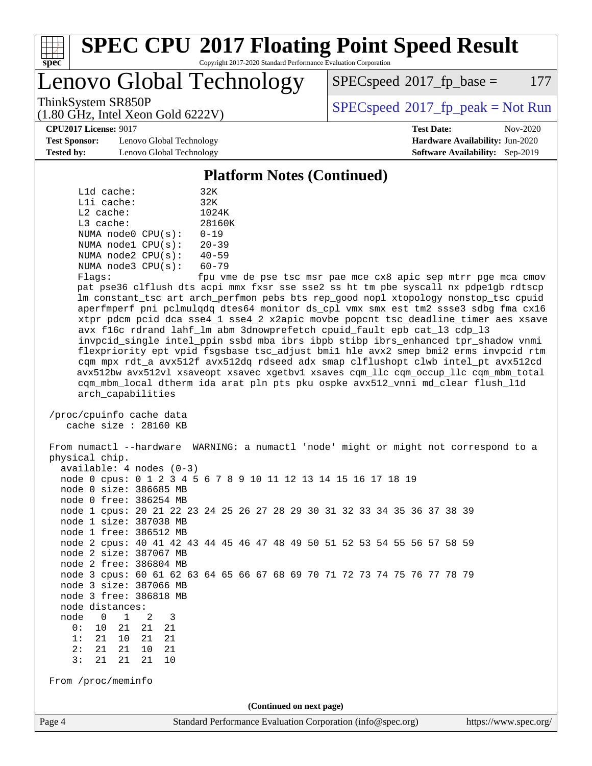

#### **[SPEC CPU](http://www.spec.org/auto/cpu2017/Docs/result-fields.html#SPECCPU2017FloatingPointSpeedResult)[2017 Floating Point Speed Result](http://www.spec.org/auto/cpu2017/Docs/result-fields.html#SPECCPU2017FloatingPointSpeedResult)** Copyright 2017-2020 Standard Performance Evaluation Corporation

Lenovo Global Technology

 $SPEC speed^{\circ}2017$  fp base = 177

ThinkSystem SR850P<br>  $(1.80 \text{ GHz. Intel Yes} \text{ }^{3}$  [SPECspeed](http://www.spec.org/auto/cpu2017/Docs/result-fields.html#SPECspeed2017fppeak)<sup>®</sup>[2017\\_fp\\_peak = N](http://www.spec.org/auto/cpu2017/Docs/result-fields.html#SPECspeed2017fppeak)ot Run

**[Test Sponsor:](http://www.spec.org/auto/cpu2017/Docs/result-fields.html#TestSponsor)** Lenovo Global Technology **[Hardware Availability:](http://www.spec.org/auto/cpu2017/Docs/result-fields.html#HardwareAvailability)** Jun-2020 **[Tested by:](http://www.spec.org/auto/cpu2017/Docs/result-fields.html#Testedby)** Lenovo Global Technology **[Software Availability:](http://www.spec.org/auto/cpu2017/Docs/result-fields.html#SoftwareAvailability)** Sep-2019

(1.80 GHz, Intel Xeon Gold 6222V)

**[CPU2017 License:](http://www.spec.org/auto/cpu2017/Docs/result-fields.html#CPU2017License)** 9017 **[Test Date:](http://www.spec.org/auto/cpu2017/Docs/result-fields.html#TestDate)** Nov-2020

#### **[Platform Notes \(Continued\)](http://www.spec.org/auto/cpu2017/Docs/result-fields.html#PlatformNotes)**

| L1d cache:  |                         | 32K                      |
|-------------|-------------------------|--------------------------|
| Lli cache:  |                         | 32K                      |
| $L2$ cache: |                         | 1024K                    |
| $L3$ cache: |                         | 28160K                   |
|             | NUMA node0 CPU(s):      | $0 - 19$                 |
|             | NUMA $node1$ $CPU(s)$ : | $20 - 39$                |
|             | NUMA $node2$ $CPU(s)$ : | $40 - 59$                |
|             | NUMA $node3$ $CPU(s)$ : | $60 - 79$                |
|             |                         | $\overline{\phantom{0}}$ |

Flags: fpu vme de pse tsc msr pae mce cx8 apic sep mtrr pge mca cmov pat pse36 clflush dts acpi mmx fxsr sse sse2 ss ht tm pbe syscall nx pdpe1gb rdtscp lm constant\_tsc art arch\_perfmon pebs bts rep\_good nopl xtopology nonstop\_tsc cpuid aperfmperf pni pclmulqdq dtes64 monitor ds\_cpl vmx smx est tm2 ssse3 sdbg fma cx16 xtpr pdcm pcid dca sse4\_1 sse4\_2 x2apic movbe popcnt tsc\_deadline\_timer aes xsave avx f16c rdrand lahf\_lm abm 3dnowprefetch cpuid\_fault epb cat\_l3 cdp\_l3 invpcid\_single intel\_ppin ssbd mba ibrs ibpb stibp ibrs\_enhanced tpr\_shadow vnmi flexpriority ept vpid fsgsbase tsc\_adjust bmi1 hle avx2 smep bmi2 erms invpcid rtm cqm mpx rdt\_a avx512f avx512dq rdseed adx smap clflushopt clwb intel\_pt avx512cd avx512bw avx512vl xsaveopt xsavec xgetbv1 xsaves cqm\_llc cqm\_occup\_llc cqm\_mbm\_total cqm\_mbm\_local dtherm ida arat pln pts pku ospke avx512\_vnni md\_clear flush\_l1d arch\_capabilities

 /proc/cpuinfo cache data cache size : 28160 KB

 From numactl --hardware WARNING: a numactl 'node' might or might not correspond to a physical chip. available: 4 nodes (0-3) node 0 cpus: 0 1 2 3 4 5 6 7 8 9 10 11 12 13 14 15 16 17 18 19 node 0 size: 386685 MB node 0 free: 386254 MB node 1 cpus: 20 21 22 23 24 25 26 27 28 29 30 31 32 33 34 35 36 37 38 39 node 1 size: 387038 MB node 1 free: 386512 MB node 2 cpus: 40 41 42 43 44 45 46 47 48 49 50 51 52 53 54 55 56 57 58 59 node 2 size: 387067 MB node 2 free: 386804 MB node 3 cpus: 60 61 62 63 64 65 66 67 68 69 70 71 72 73 74 75 76 77 78 79 node 3 size: 387066 MB node 3 free: 386818 MB node distances: node 0 1 2 3 0: 10 21 21 21 1: 21 10 21 21 2: 21 21 10 21 3: 21 21 21 10 From /proc/meminfo **(Continued on next page)**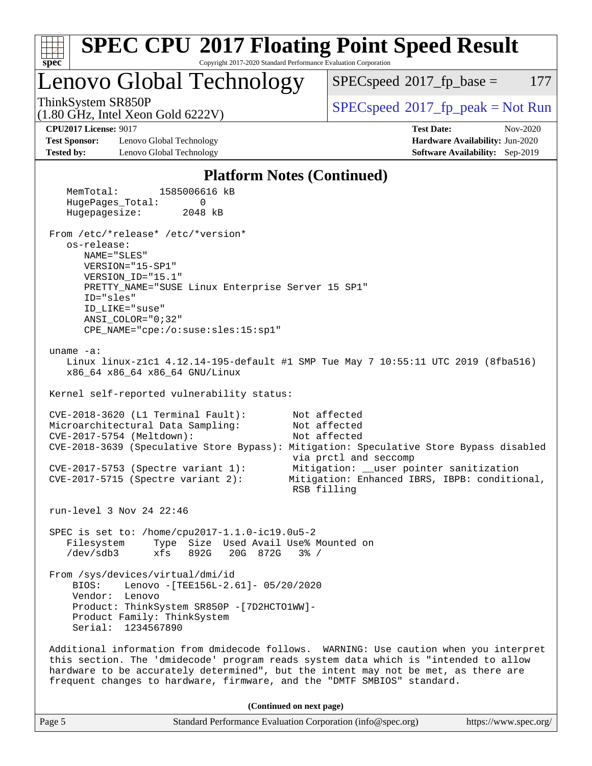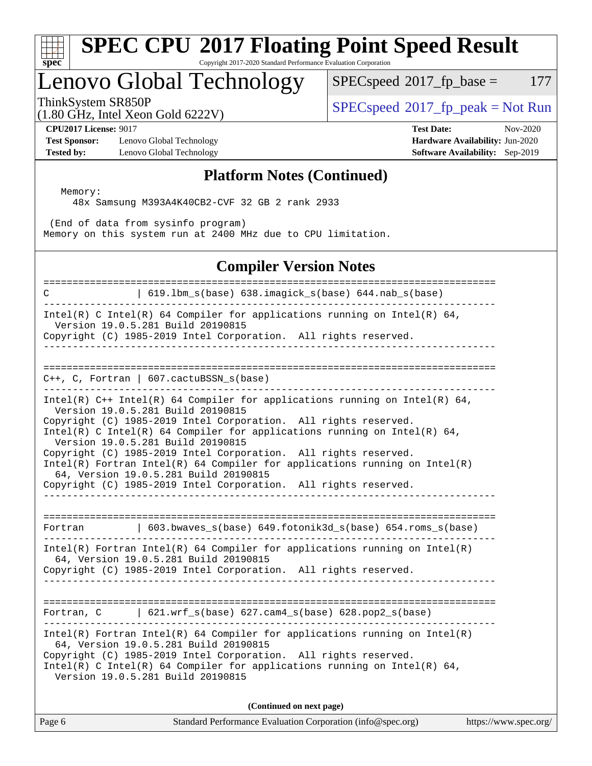#### **[spec](http://www.spec.org/) [SPEC CPU](http://www.spec.org/auto/cpu2017/Docs/result-fields.html#SPECCPU2017FloatingPointSpeedResult)[2017 Floating Point Speed Result](http://www.spec.org/auto/cpu2017/Docs/result-fields.html#SPECCPU2017FloatingPointSpeedResult)** Copyright 2017-2020 Standard Performance Evaluation Corporation

## Lenovo Global Technology

 $SPEC speed^{\circ}2017\_fp\_base = 177$ 

(1.80 GHz, Intel Xeon Gold 6222V)

ThinkSystem SR850P<br>(1.80 CHz, Intel Year Gald 6222V) [SPECspeed](http://www.spec.org/auto/cpu2017/Docs/result-fields.html#SPECspeed2017fppeak)®[2017\\_fp\\_peak = N](http://www.spec.org/auto/cpu2017/Docs/result-fields.html#SPECspeed2017fppeak)ot Run

**[Test Sponsor:](http://www.spec.org/auto/cpu2017/Docs/result-fields.html#TestSponsor)** Lenovo Global Technology **[Hardware Availability:](http://www.spec.org/auto/cpu2017/Docs/result-fields.html#HardwareAvailability)** Jun-2020 **[Tested by:](http://www.spec.org/auto/cpu2017/Docs/result-fields.html#Testedby)** Lenovo Global Technology **[Software Availability:](http://www.spec.org/auto/cpu2017/Docs/result-fields.html#SoftwareAvailability)** Sep-2019

**[CPU2017 License:](http://www.spec.org/auto/cpu2017/Docs/result-fields.html#CPU2017License)** 9017 **[Test Date:](http://www.spec.org/auto/cpu2017/Docs/result-fields.html#TestDate)** Nov-2020

### **[Platform Notes \(Continued\)](http://www.spec.org/auto/cpu2017/Docs/result-fields.html#PlatformNotes)**

 Memory: 48x Samsung M393A4K40CB2-CVF 32 GB 2 rank 2933

 (End of data from sysinfo program) Memory on this system run at 2400 MHz due to CPU limitation.

### **[Compiler Version Notes](http://www.spec.org/auto/cpu2017/Docs/result-fields.html#CompilerVersionNotes)**

============================================================================== C | 619.lbm\_s(base) 638.imagick\_s(base) 644.nab\_s(base) ------------------------------------------------------------------------------ Intel(R) C Intel(R) 64 Compiler for applications running on Intel(R) 64, Version 19.0.5.281 Build 20190815 Copyright (C) 1985-2019 Intel Corporation. All rights reserved. ------------------------------------------------------------------------------ ============================================================================== C++, C, Fortran | 607.cactuBSSN\_s(base) ------------------------------------------------------------------------------ Intel(R)  $C++$  Intel(R) 64 Compiler for applications running on Intel(R) 64, Version 19.0.5.281 Build 20190815 Copyright (C) 1985-2019 Intel Corporation. All rights reserved. Intel(R) C Intel(R) 64 Compiler for applications running on Intel(R)  $64$ , Version 19.0.5.281 Build 20190815 Copyright (C) 1985-2019 Intel Corporation. All rights reserved. Intel(R) Fortran Intel(R) 64 Compiler for applications running on Intel(R) 64, Version 19.0.5.281 Build 20190815 Copyright (C) 1985-2019 Intel Corporation. All rights reserved. ------------------------------------------------------------------------------ ============================================================================== Fortran | 603.bwaves\_s(base) 649.fotonik3d\_s(base) 654.roms\_s(base) ------------------------------------------------------------------------------ Intel(R) Fortran Intel(R) 64 Compiler for applications running on Intel(R) 64, Version 19.0.5.281 Build 20190815 Copyright (C) 1985-2019 Intel Corporation. All rights reserved. ------------------------------------------------------------------------------ ============================================================================== Fortran, C | 621.wrf\_s(base) 627.cam4\_s(base) 628.pop2\_s(base) ------------------------------------------------------------------------------ Intel(R) Fortran Intel(R) 64 Compiler for applications running on Intel(R) 64, Version 19.0.5.281 Build 20190815 Copyright (C) 1985-2019 Intel Corporation. All rights reserved. Intel(R) C Intel(R) 64 Compiler for applications running on Intel(R)  $64$ , Version 19.0.5.281 Build 20190815 **(Continued on next page)**

Page 6 Standard Performance Evaluation Corporation [\(info@spec.org\)](mailto:info@spec.org) <https://www.spec.org/>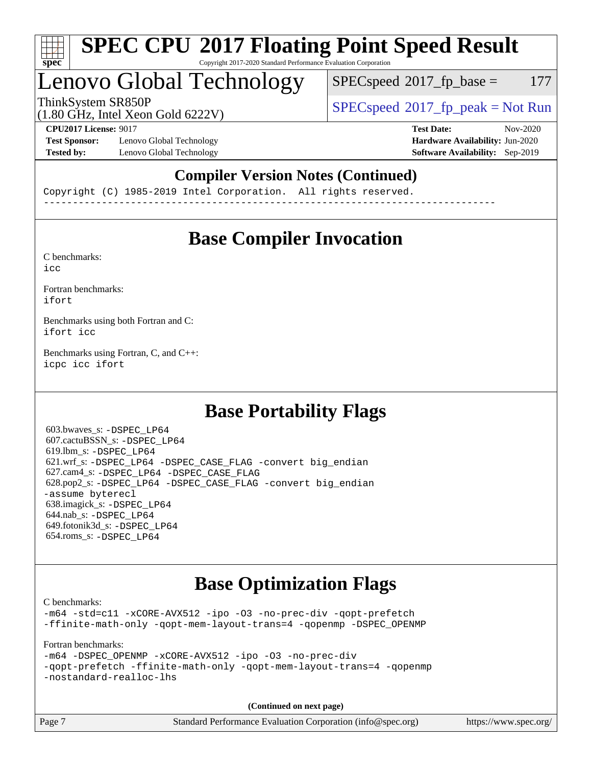

#### **[SPEC CPU](http://www.spec.org/auto/cpu2017/Docs/result-fields.html#SPECCPU2017FloatingPointSpeedResult)[2017 Floating Point Speed Result](http://www.spec.org/auto/cpu2017/Docs/result-fields.html#SPECCPU2017FloatingPointSpeedResult)** Copyright 2017-2020 Standard Performance Evaluation Corporation

## Lenovo Global Technology

 $SPEC speed^{\circ}2017\_fp\_base = 177$ 

ThinkSystem SR850P<br>  $(1.80 \text{ GHz. Intel Yes} \cdot \text{Cold } 6222V)$  [SPECspeed](http://www.spec.org/auto/cpu2017/Docs/result-fields.html#SPECspeed2017fppeak)<sup>®</sup>[2017\\_fp\\_peak = N](http://www.spec.org/auto/cpu2017/Docs/result-fields.html#SPECspeed2017fppeak)ot Run

(1.80 GHz, Intel Xeon Gold 6222V)

**[Test Sponsor:](http://www.spec.org/auto/cpu2017/Docs/result-fields.html#TestSponsor)** Lenovo Global Technology **[Hardware Availability:](http://www.spec.org/auto/cpu2017/Docs/result-fields.html#HardwareAvailability)** Jun-2020 **[Tested by:](http://www.spec.org/auto/cpu2017/Docs/result-fields.html#Testedby)** Lenovo Global Technology **[Software Availability:](http://www.spec.org/auto/cpu2017/Docs/result-fields.html#SoftwareAvailability)** Sep-2019

**[CPU2017 License:](http://www.spec.org/auto/cpu2017/Docs/result-fields.html#CPU2017License)** 9017 **[Test Date:](http://www.spec.org/auto/cpu2017/Docs/result-fields.html#TestDate)** Nov-2020

### **[Compiler Version Notes \(Continued\)](http://www.spec.org/auto/cpu2017/Docs/result-fields.html#CompilerVersionNotes)**

Copyright (C) 1985-2019 Intel Corporation. All rights reserved. ------------------------------------------------------------------------------

## **[Base Compiler Invocation](http://www.spec.org/auto/cpu2017/Docs/result-fields.html#BaseCompilerInvocation)**

[C benchmarks](http://www.spec.org/auto/cpu2017/Docs/result-fields.html#Cbenchmarks): [icc](http://www.spec.org/cpu2017/results/res2020q4/cpu2017-20201207-24512.flags.html#user_CCbase_intel_icc_66fc1ee009f7361af1fbd72ca7dcefbb700085f36577c54f309893dd4ec40d12360134090235512931783d35fd58c0460139e722d5067c5574d8eaf2b3e37e92)

[Fortran benchmarks](http://www.spec.org/auto/cpu2017/Docs/result-fields.html#Fortranbenchmarks): [ifort](http://www.spec.org/cpu2017/results/res2020q4/cpu2017-20201207-24512.flags.html#user_FCbase_intel_ifort_8111460550e3ca792625aed983ce982f94888b8b503583aa7ba2b8303487b4d8a21a13e7191a45c5fd58ff318f48f9492884d4413fa793fd88dd292cad7027ca)

[Benchmarks using both Fortran and C](http://www.spec.org/auto/cpu2017/Docs/result-fields.html#BenchmarksusingbothFortranandC): [ifort](http://www.spec.org/cpu2017/results/res2020q4/cpu2017-20201207-24512.flags.html#user_CC_FCbase_intel_ifort_8111460550e3ca792625aed983ce982f94888b8b503583aa7ba2b8303487b4d8a21a13e7191a45c5fd58ff318f48f9492884d4413fa793fd88dd292cad7027ca) [icc](http://www.spec.org/cpu2017/results/res2020q4/cpu2017-20201207-24512.flags.html#user_CC_FCbase_intel_icc_66fc1ee009f7361af1fbd72ca7dcefbb700085f36577c54f309893dd4ec40d12360134090235512931783d35fd58c0460139e722d5067c5574d8eaf2b3e37e92)

[Benchmarks using Fortran, C, and C++:](http://www.spec.org/auto/cpu2017/Docs/result-fields.html#BenchmarksusingFortranCandCXX) [icpc](http://www.spec.org/cpu2017/results/res2020q4/cpu2017-20201207-24512.flags.html#user_CC_CXX_FCbase_intel_icpc_c510b6838c7f56d33e37e94d029a35b4a7bccf4766a728ee175e80a419847e808290a9b78be685c44ab727ea267ec2f070ec5dc83b407c0218cded6866a35d07) [icc](http://www.spec.org/cpu2017/results/res2020q4/cpu2017-20201207-24512.flags.html#user_CC_CXX_FCbase_intel_icc_66fc1ee009f7361af1fbd72ca7dcefbb700085f36577c54f309893dd4ec40d12360134090235512931783d35fd58c0460139e722d5067c5574d8eaf2b3e37e92) [ifort](http://www.spec.org/cpu2017/results/res2020q4/cpu2017-20201207-24512.flags.html#user_CC_CXX_FCbase_intel_ifort_8111460550e3ca792625aed983ce982f94888b8b503583aa7ba2b8303487b4d8a21a13e7191a45c5fd58ff318f48f9492884d4413fa793fd88dd292cad7027ca)

## **[Base Portability Flags](http://www.spec.org/auto/cpu2017/Docs/result-fields.html#BasePortabilityFlags)**

 603.bwaves\_s: [-DSPEC\\_LP64](http://www.spec.org/cpu2017/results/res2020q4/cpu2017-20201207-24512.flags.html#suite_basePORTABILITY603_bwaves_s_DSPEC_LP64) 607.cactuBSSN\_s: [-DSPEC\\_LP64](http://www.spec.org/cpu2017/results/res2020q4/cpu2017-20201207-24512.flags.html#suite_basePORTABILITY607_cactuBSSN_s_DSPEC_LP64) 619.lbm\_s: [-DSPEC\\_LP64](http://www.spec.org/cpu2017/results/res2020q4/cpu2017-20201207-24512.flags.html#suite_basePORTABILITY619_lbm_s_DSPEC_LP64) 621.wrf\_s: [-DSPEC\\_LP64](http://www.spec.org/cpu2017/results/res2020q4/cpu2017-20201207-24512.flags.html#suite_basePORTABILITY621_wrf_s_DSPEC_LP64) [-DSPEC\\_CASE\\_FLAG](http://www.spec.org/cpu2017/results/res2020q4/cpu2017-20201207-24512.flags.html#b621.wrf_s_baseCPORTABILITY_DSPEC_CASE_FLAG) [-convert big\\_endian](http://www.spec.org/cpu2017/results/res2020q4/cpu2017-20201207-24512.flags.html#user_baseFPORTABILITY621_wrf_s_convert_big_endian_c3194028bc08c63ac5d04de18c48ce6d347e4e562e8892b8bdbdc0214820426deb8554edfa529a3fb25a586e65a3d812c835984020483e7e73212c4d31a38223) 627.cam4\_s: [-DSPEC\\_LP64](http://www.spec.org/cpu2017/results/res2020q4/cpu2017-20201207-24512.flags.html#suite_basePORTABILITY627_cam4_s_DSPEC_LP64) [-DSPEC\\_CASE\\_FLAG](http://www.spec.org/cpu2017/results/res2020q4/cpu2017-20201207-24512.flags.html#b627.cam4_s_baseCPORTABILITY_DSPEC_CASE_FLAG) 628.pop2\_s: [-DSPEC\\_LP64](http://www.spec.org/cpu2017/results/res2020q4/cpu2017-20201207-24512.flags.html#suite_basePORTABILITY628_pop2_s_DSPEC_LP64) [-DSPEC\\_CASE\\_FLAG](http://www.spec.org/cpu2017/results/res2020q4/cpu2017-20201207-24512.flags.html#b628.pop2_s_baseCPORTABILITY_DSPEC_CASE_FLAG) [-convert big\\_endian](http://www.spec.org/cpu2017/results/res2020q4/cpu2017-20201207-24512.flags.html#user_baseFPORTABILITY628_pop2_s_convert_big_endian_c3194028bc08c63ac5d04de18c48ce6d347e4e562e8892b8bdbdc0214820426deb8554edfa529a3fb25a586e65a3d812c835984020483e7e73212c4d31a38223) [-assume byterecl](http://www.spec.org/cpu2017/results/res2020q4/cpu2017-20201207-24512.flags.html#user_baseFPORTABILITY628_pop2_s_assume_byterecl_7e47d18b9513cf18525430bbf0f2177aa9bf368bc7a059c09b2c06a34b53bd3447c950d3f8d6c70e3faf3a05c8557d66a5798b567902e8849adc142926523472) 638.imagick\_s: [-DSPEC\\_LP64](http://www.spec.org/cpu2017/results/res2020q4/cpu2017-20201207-24512.flags.html#suite_basePORTABILITY638_imagick_s_DSPEC_LP64) 644.nab\_s: [-DSPEC\\_LP64](http://www.spec.org/cpu2017/results/res2020q4/cpu2017-20201207-24512.flags.html#suite_basePORTABILITY644_nab_s_DSPEC_LP64) 649.fotonik3d\_s: [-DSPEC\\_LP64](http://www.spec.org/cpu2017/results/res2020q4/cpu2017-20201207-24512.flags.html#suite_basePORTABILITY649_fotonik3d_s_DSPEC_LP64) 654.roms\_s: [-DSPEC\\_LP64](http://www.spec.org/cpu2017/results/res2020q4/cpu2017-20201207-24512.flags.html#suite_basePORTABILITY654_roms_s_DSPEC_LP64)

## **[Base Optimization Flags](http://www.spec.org/auto/cpu2017/Docs/result-fields.html#BaseOptimizationFlags)**

[C benchmarks](http://www.spec.org/auto/cpu2017/Docs/result-fields.html#Cbenchmarks):

[-m64](http://www.spec.org/cpu2017/results/res2020q4/cpu2017-20201207-24512.flags.html#user_CCbase_m64-icc) [-std=c11](http://www.spec.org/cpu2017/results/res2020q4/cpu2017-20201207-24512.flags.html#user_CCbase_std-icc-std_0e1c27790398a4642dfca32ffe6c27b5796f9c2d2676156f2e42c9c44eaad0c049b1cdb667a270c34d979996257aeb8fc440bfb01818dbc9357bd9d174cb8524) [-xCORE-AVX512](http://www.spec.org/cpu2017/results/res2020q4/cpu2017-20201207-24512.flags.html#user_CCbase_f-xCORE-AVX512) [-ipo](http://www.spec.org/cpu2017/results/res2020q4/cpu2017-20201207-24512.flags.html#user_CCbase_f-ipo) [-O3](http://www.spec.org/cpu2017/results/res2020q4/cpu2017-20201207-24512.flags.html#user_CCbase_f-O3) [-no-prec-div](http://www.spec.org/cpu2017/results/res2020q4/cpu2017-20201207-24512.flags.html#user_CCbase_f-no-prec-div) [-qopt-prefetch](http://www.spec.org/cpu2017/results/res2020q4/cpu2017-20201207-24512.flags.html#user_CCbase_f-qopt-prefetch) [-ffinite-math-only](http://www.spec.org/cpu2017/results/res2020q4/cpu2017-20201207-24512.flags.html#user_CCbase_f_finite_math_only_cb91587bd2077682c4b38af759c288ed7c732db004271a9512da14a4f8007909a5f1427ecbf1a0fb78ff2a814402c6114ac565ca162485bbcae155b5e4258871) [-qopt-mem-layout-trans=4](http://www.spec.org/cpu2017/results/res2020q4/cpu2017-20201207-24512.flags.html#user_CCbase_f-qopt-mem-layout-trans_fa39e755916c150a61361b7846f310bcdf6f04e385ef281cadf3647acec3f0ae266d1a1d22d972a7087a248fd4e6ca390a3634700869573d231a252c784941a8) [-qopenmp](http://www.spec.org/cpu2017/results/res2020q4/cpu2017-20201207-24512.flags.html#user_CCbase_qopenmp_16be0c44f24f464004c6784a7acb94aca937f053568ce72f94b139a11c7c168634a55f6653758ddd83bcf7b8463e8028bb0b48b77bcddc6b78d5d95bb1df2967) [-DSPEC\\_OPENMP](http://www.spec.org/cpu2017/results/res2020q4/cpu2017-20201207-24512.flags.html#suite_CCbase_DSPEC_OPENMP)

[Fortran benchmarks](http://www.spec.org/auto/cpu2017/Docs/result-fields.html#Fortranbenchmarks):

[-m64](http://www.spec.org/cpu2017/results/res2020q4/cpu2017-20201207-24512.flags.html#user_FCbase_m64-icc) [-DSPEC\\_OPENMP](http://www.spec.org/cpu2017/results/res2020q4/cpu2017-20201207-24512.flags.html#suite_FCbase_DSPEC_OPENMP) [-xCORE-AVX512](http://www.spec.org/cpu2017/results/res2020q4/cpu2017-20201207-24512.flags.html#user_FCbase_f-xCORE-AVX512) [-ipo](http://www.spec.org/cpu2017/results/res2020q4/cpu2017-20201207-24512.flags.html#user_FCbase_f-ipo) [-O3](http://www.spec.org/cpu2017/results/res2020q4/cpu2017-20201207-24512.flags.html#user_FCbase_f-O3) [-no-prec-div](http://www.spec.org/cpu2017/results/res2020q4/cpu2017-20201207-24512.flags.html#user_FCbase_f-no-prec-div) [-qopt-prefetch](http://www.spec.org/cpu2017/results/res2020q4/cpu2017-20201207-24512.flags.html#user_FCbase_f-qopt-prefetch) [-ffinite-math-only](http://www.spec.org/cpu2017/results/res2020q4/cpu2017-20201207-24512.flags.html#user_FCbase_f_finite_math_only_cb91587bd2077682c4b38af759c288ed7c732db004271a9512da14a4f8007909a5f1427ecbf1a0fb78ff2a814402c6114ac565ca162485bbcae155b5e4258871) [-qopt-mem-layout-trans=4](http://www.spec.org/cpu2017/results/res2020q4/cpu2017-20201207-24512.flags.html#user_FCbase_f-qopt-mem-layout-trans_fa39e755916c150a61361b7846f310bcdf6f04e385ef281cadf3647acec3f0ae266d1a1d22d972a7087a248fd4e6ca390a3634700869573d231a252c784941a8) [-qopenmp](http://www.spec.org/cpu2017/results/res2020q4/cpu2017-20201207-24512.flags.html#user_FCbase_qopenmp_16be0c44f24f464004c6784a7acb94aca937f053568ce72f94b139a11c7c168634a55f6653758ddd83bcf7b8463e8028bb0b48b77bcddc6b78d5d95bb1df2967) [-nostandard-realloc-lhs](http://www.spec.org/cpu2017/results/res2020q4/cpu2017-20201207-24512.flags.html#user_FCbase_f_2003_std_realloc_82b4557e90729c0f113870c07e44d33d6f5a304b4f63d4c15d2d0f1fab99f5daaed73bdb9275d9ae411527f28b936061aa8b9c8f2d63842963b95c9dd6426b8a)

**(Continued on next page)**

| Page 7 | Standard Performance Evaluation Corporation (info@spec.org) | https://www.spec.org/ |
|--------|-------------------------------------------------------------|-----------------------|